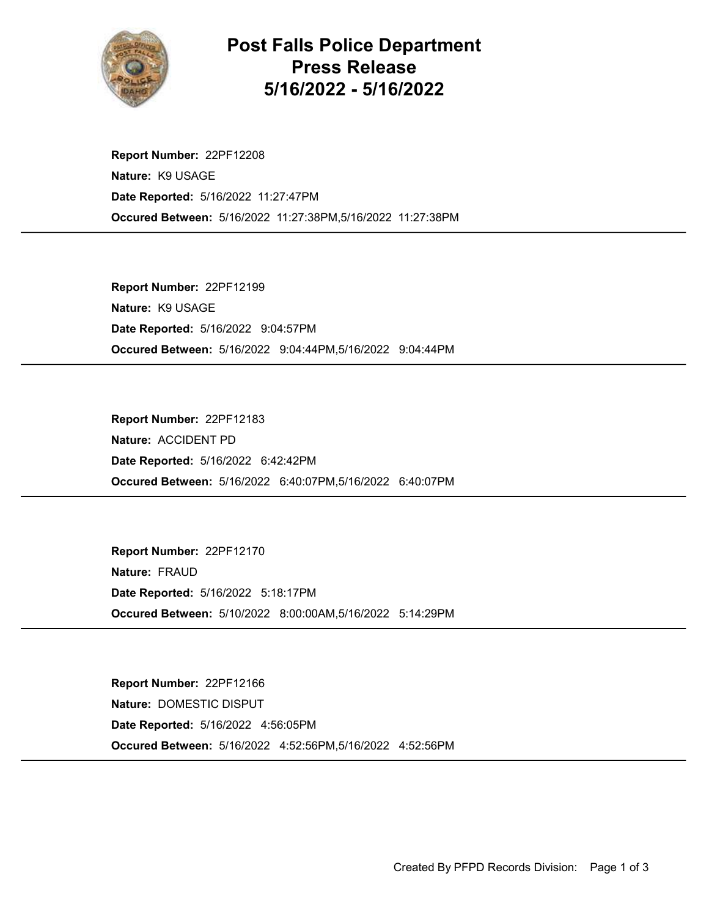

Post Falls Police Department Press Release 5/16/2022 - 5/16/2022

Occured Between: 5/16/2022 11:27:38PM,5/16/2022 11:27:38PM Report Number: 22PF12208 Nature: K9 USAGE Date Reported: 5/16/2022 11:27:47PM

Occured Between: 5/16/2022 9:04:44PM,5/16/2022 9:04:44PM Report Number: 22PF12199 Nature: K9 USAGE Date Reported: 5/16/2022 9:04:57PM

Occured Between: 5/16/2022 6:40:07PM,5/16/2022 6:40:07PM Report Number: 22PF12183 Nature: ACCIDENT PD Date Reported: 5/16/2022 6:42:42PM

Occured Between: 5/10/2022 8:00:00AM,5/16/2022 5:14:29PM Report Number: 22PF12170 Nature: FRAUD Date Reported: 5/16/2022 5:18:17PM

Occured Between: 5/16/2022 4:52:56PM,5/16/2022 4:52:56PM Report Number: 22PF12166 Nature: DOMESTIC DISPUT Date Reported: 5/16/2022 4:56:05PM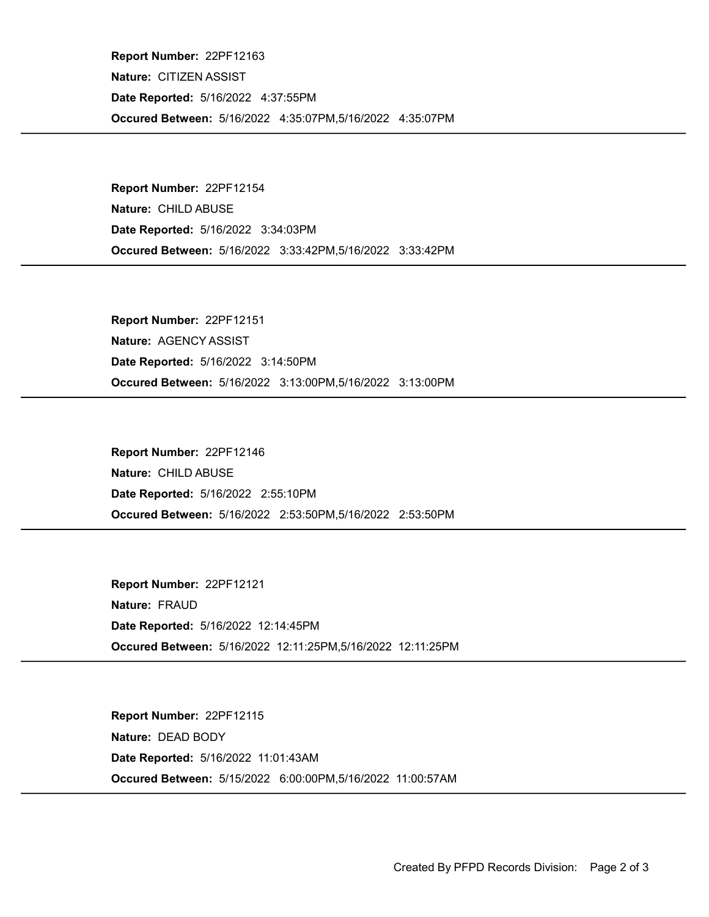Occured Between: 5/16/2022 4:35:07PM,5/16/2022 4:35:07PM Report Number: 22PF12163 Nature: CITIZEN ASSIST Date Reported: 5/16/2022 4:37:55PM

Occured Between: 5/16/2022 3:33:42PM,5/16/2022 3:33:42PM Report Number: 22PF12154 Nature: CHILD ABUSE Date Reported: 5/16/2022 3:34:03PM

Occured Between: 5/16/2022 3:13:00PM,5/16/2022 3:13:00PM Report Number: 22PF12151 Nature: AGENCY ASSIST Date Reported: 5/16/2022 3:14:50PM

Occured Between: 5/16/2022 2:53:50PM,5/16/2022 2:53:50PM Report Number: 22PF12146 Nature: CHILD ABUSE Date Reported: 5/16/2022 2:55:10PM

Occured Between: 5/16/2022 12:11:25PM,5/16/2022 12:11:25PM Report Number: 22PF12121 Nature: FRAUD Date Reported: 5/16/2022 12:14:45PM

Occured Between: 5/15/2022 6:00:00PM,5/16/2022 11:00:57AM Report Number: 22PF12115 Nature: DEAD BODY Date Reported: 5/16/2022 11:01:43AM